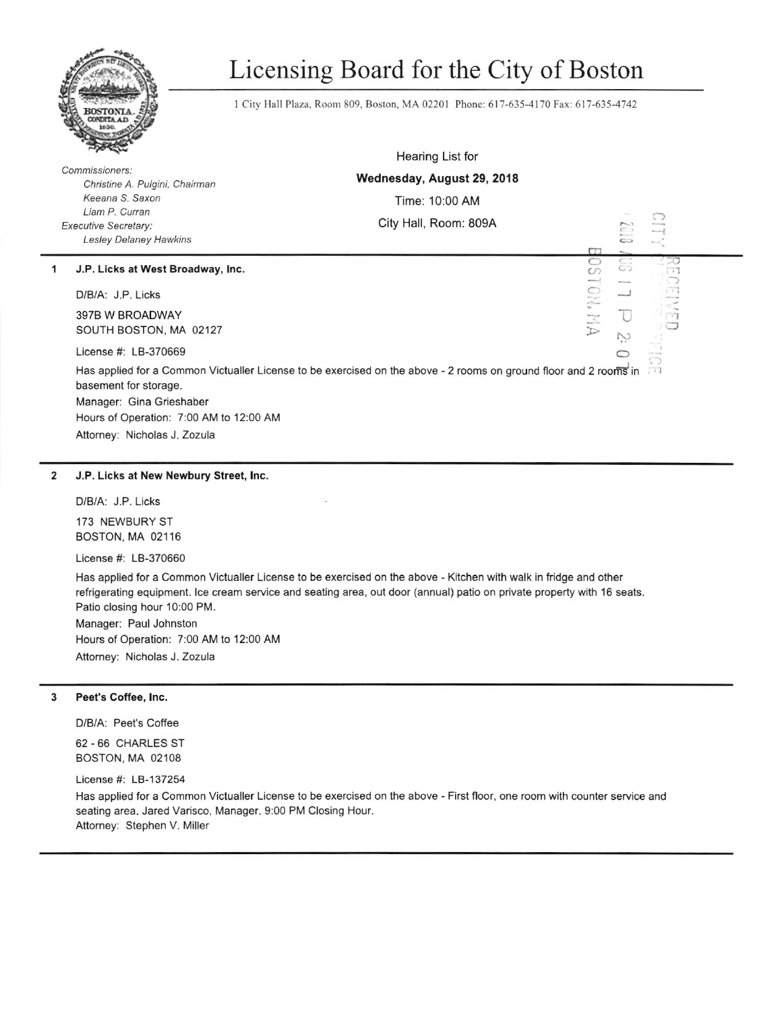

# Licensing Board for the City of Boston

1 City Hall Plaza, Room 809, Boston, MA 02201 Phone: 617-635-4170 Fax: 617-635-4742

|                                                                                                                                                       | the state of the contract of                                                                                                                         | Hearing List for                                                                                                     |  |                                           |                                       |  |
|-------------------------------------------------------------------------------------------------------------------------------------------------------|------------------------------------------------------------------------------------------------------------------------------------------------------|----------------------------------------------------------------------------------------------------------------------|--|-------------------------------------------|---------------------------------------|--|
| Commissioners:<br>Christine A. Pulgini, Chairman<br>Keeana S. Saxon<br>Liam P. Curran<br><b>Executive Secretary:</b><br><b>Lesley Delaney Hawkins</b> |                                                                                                                                                      | Wednesday, August 29, 2018                                                                                           |  |                                           |                                       |  |
|                                                                                                                                                       |                                                                                                                                                      | Time: 10:00 AM                                                                                                       |  |                                           |                                       |  |
|                                                                                                                                                       |                                                                                                                                                      | City Hall, Room: 809A                                                                                                |  | $C^{-}$                                   | ◯<br>knings                           |  |
|                                                                                                                                                       |                                                                                                                                                      | $\Gamma T$                                                                                                           |  | Witnessely<br>$\mathbf{C}$                |                                       |  |
| 1                                                                                                                                                     | J.P. Licks at West Broadway, Inc.                                                                                                                    | $\circ$<br>$\circ$<br>$\frac{1}{2} \left( \frac{1}{2} \right) \left( \frac{1}{2} \right) \left( \frac{1}{2} \right)$ |  | $\sim$<br>$\subset$<br>G<br><b>Window</b> |                                       |  |
|                                                                                                                                                       | D/B/A: J.P. Licks                                                                                                                                    | 0<br>mi un<br>ethican                                                                                                |  | لىب                                       |                                       |  |
|                                                                                                                                                       | 397B W BROADWAY<br>SOUTH BOSTON, MA 02127                                                                                                            | $\sim$<br>$\mathbb{S}^n$<br>$\sum_{i=1}^{n}$                                                                         |  |                                           |                                       |  |
|                                                                                                                                                       | License #: LB-370669                                                                                                                                 |                                                                                                                      |  |                                           | $\rightarrow$<br><b>HITCHING</b><br>O |  |
|                                                                                                                                                       | Has applied for a Common Victualler License to be exercised on the above - 2 rooms on ground floor and 2 rooms in<br>$\Box$<br>basement for storage. |                                                                                                                      |  |                                           |                                       |  |
|                                                                                                                                                       | Manager: Gina Grieshaber                                                                                                                             |                                                                                                                      |  |                                           |                                       |  |
|                                                                                                                                                       | Hours of Operation: 7:00 AM to 12:00 AM                                                                                                              |                                                                                                                      |  |                                           |                                       |  |
|                                                                                                                                                       | Attorney: Nicholas J. Zozula                                                                                                                         |                                                                                                                      |  |                                           |                                       |  |

### 2 J.P. Licks at New Newbury Street, lnc

D/B/A: J.P. Licks

173 NEWBURY ST BOSTON, MA 02116

License #: L8-370660

Has applied for a Common Victualler License to be exercised on the above - Kitchen with walk in fridge and olher refrigerating equipment. lce cream service and sealing area, out door (annual) patio on private property with 16 seats. Patio closing hour 10:00 PM.

Manager: Paul Johnston Hours of Operation: 7:00 AM to 12:00 AM Attomey: Nicholas J. zozula

# 3 Peet's Coffee, lnc.

D/B/A: Peet's Coffee

62 -66 CHARLES ST BOSTON, MA 02108

License #: LB-137254

Has applied for a Common Victualler License to be exercised on the above - First floor, one room with counter service and seating area. Jared Varisco, Manager. 9:00 PM Closing Hour. Attomey: Stephen V. Miller